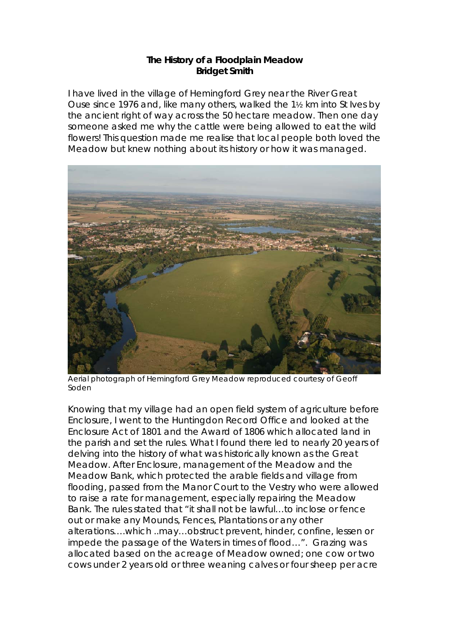## **The History of a Floodplain Meadow Bridget Smith**

I have lived in the village of Hemingford Grey near the River Great Ouse since 1976 and, like many others, walked the 1½ km into St Ives by the ancient right of way across the 50 hectare meadow. Then one day someone asked me why the cattle were being allowed to eat the wild flowers! This question made me realise that local people both loved the Meadow but knew nothing about its history or how it was managed.



Aerial photograph of Hemingford Grey Meadow reproduced courtesy of Geoff Soden

Knowing that my village had an open field system of agriculture before Enclosure, I went to the Huntingdon Record Office and looked at the Enclosure Act of 1801 and the Award of 1806 which allocated land in the parish and set the rules. What I found there led to nearly 20 years of delving into the history of what was historically known as the Great Meadow. After Enclosure, management of the Meadow and the Meadow Bank, which protected the arable fields and village from flooding, passed from the Manor Court to the Vestry who were allowed to raise a rate for management, especially repairing the Meadow Bank. The rules stated that "it shall not be lawful…to inclose or fence out or make any Mounds, Fences, Plantations or any other alterations….which ..may…obstruct prevent, hinder, confine, lessen or impede the passage of the Waters in times of flood…". Grazing was allocated based on the acreage of Meadow owned; one cow or two cows under 2 years old or three weaning calves or four sheep per acre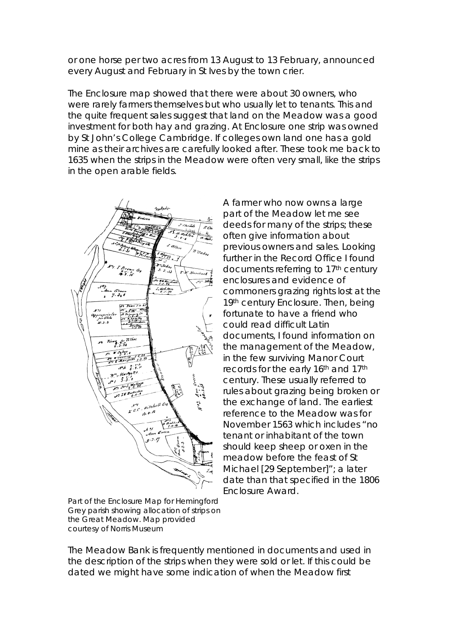or one horse per two acres from 13 August to 13 February, announced every August and February in St Ives by the town crier.

The Enclosure map showed that there were about 30 owners, who were rarely farmers themselves but who usually let to tenants. This and the quite frequent sales suggest that land on the Meadow was a good investment for both hay and grazing. At Enclosure one strip was owned by St John's College Cambridge. If colleges own land one has a gold mine as their archives are carefully looked after. These took me back to 1635 when the strips in the Meadow were often very small, like the strips in the open arable fields.



A farmer who now owns a large part of the Meadow let me see deeds for many of the strips; these often give information about previous owners and sales. Looking further in the Record Office I found documents referring to 17<sup>th</sup> century enclosures and evidence of commoners grazing rights lost at the 19th century Enclosure. Then, being fortunate to have a friend who could read difficult Latin documents, I found information on the management of the Meadow, in the few surviving Manor Court records for the early 16th and 17th century. These usually referred to rules about grazing being broken or the exchange of land. The earliest reference to the Meadow was for November 1563 which includes "no tenant or inhabitant of the town should keep sheep or oxen in the meadow before the feast of St Michael [29 September]"; a later date than that specified in the 1806 Enclosure Award.

Part of the Enclosure Map for Hemingford Grey parish showing allocation of strips on the Great Meadow. Map provided courtesy of Norris Museum

The Meadow Bank is frequently mentioned in documents and used in the description of the strips when they were sold or let. If this could be dated we might have some indication of when the Meadow first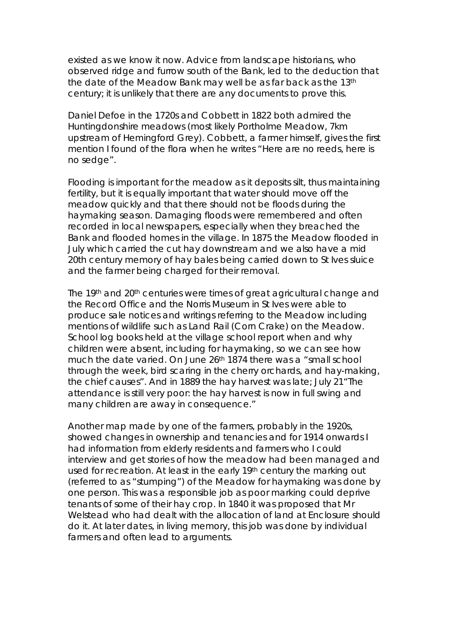existed as we know it now. Advice from landscape historians, who observed ridge and furrow south of the Bank, led to the deduction that the date of the Meadow Bank may well be as far back as the 13th century; it is unlikely that there are any documents to prove this.

Daniel Defoe in the 1720s and Cobbett in 1822 both admired the Huntingdonshire meadows (most likely Portholme Meadow, 7km upstream of Hemingford Grey). Cobbett, a farmer himself, gives the first mention I found of the flora when he writes "Here are no reeds, here is no sedge".

Flooding is important for the meadow as it deposits silt, thus maintaining fertility, but it is equally important that water should move off the meadow quickly and that there should not be floods during the haymaking season. Damaging floods were remembered and often recorded in local newspapers, especially when they breached the Bank and flooded homes in the village. In 1875 the Meadow flooded in July which carried the cut hay downstream and we also have a mid 20th century memory of hay bales being carried down to St Ives sluice and the farmer being charged for their removal.

The 19th and 20th centuries were times of great agricultural change and the Record Office and the Norris Museum in St Ives were able to produce sale notices and writings referring to the Meadow including mentions of wildlife such as Land Rail (Corn Crake) on the Meadow. School log books held at the village school report when and why children were absent, including for haymaking, so we can see how much the date varied. On June 26th 1874 there was a "small school through the week, bird scaring in the cherry orchards, and hay-making, the chief causes". And in 1889 the hay harvest was late; July 21"The attendance is still very poor: the hay harvest is now in full swing and many children are away in consequence."

Another map made by one of the farmers, probably in the 1920s, showed changes in ownership and tenancies and for 1914 onwards I had information from elderly residents and farmers who I could interview and get stories of how the meadow had been managed and used for recreation. At least in the early 19th century the marking out (referred to as "stumping") of the Meadow for haymaking was done by one person. This was a responsible job as poor marking could deprive tenants of some of their hay crop. In 1840 it was proposed that Mr Welstead who had dealt with the allocation of land at Enclosure should do it. At later dates, in living memory, this job was done by individual farmers and often lead to arguments.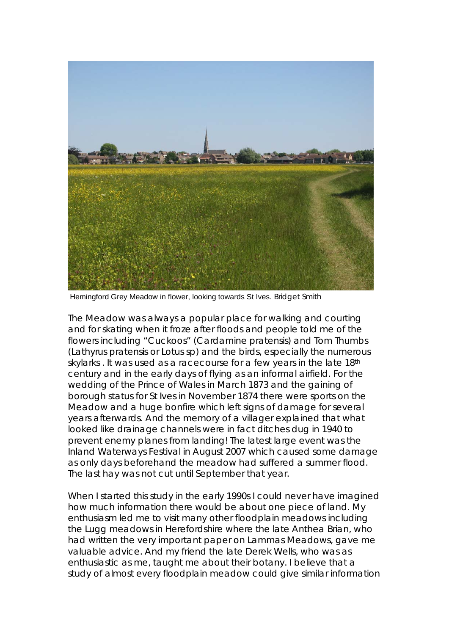

Hemingford Grey Meadow in flower, looking towards St Ives. Bridget Smith

The Meadow was always a popular place for walking and courting and for skating when it froze after floods and people told me of the flowers including "Cuckoos" (*Cardamine pratensis)* and Tom Thumbs (*Lathyrus pratensis* or *Lotus* sp) and the birds, especially the numerous skylarks. It was used as a racecourse for a few years in the late 18th century and in the early days of flying as an informal airfield. For the wedding of the Prince of Wales in March 1873 and the gaining of borough status for St Ives in November 1874 there were sports on the Meadow and a huge bonfire which left signs of damage for several years afterwards. And the memory of a villager explained that what looked like drainage channels were in fact ditches dug in 1940 to prevent enemy planes from landing! The latest large event was the Inland Waterways Festival in August 2007 which caused some damage as only days beforehand the meadow had suffered a summer flood. The last hay was not cut until September that year.

When I started this study in the early 1990s I could never have imagined how much information there would be about one piece of land. My enthusiasm led me to visit many other floodplain meadows including the Lugg meadows in Herefordshire where the late Anthea Brian, who had written the very important paper on Lammas Meadows, gave me valuable advice. And my friend the late Derek Wells, who was as enthusiastic as me, taught me about their botany. I believe that a study of almost every floodplain meadow could give similar information